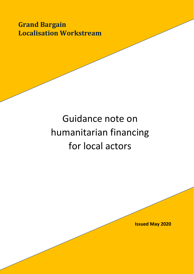**Grand Bargain Localisation Workstream** 

# Guidance note on humanitarian financing for local actors

**Issued May 2020**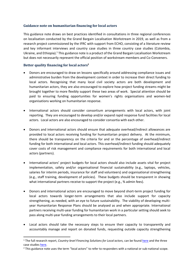#### **Guidance note on humanitarian financing for local actors**

This guidance note draws on best practices identified in consultations in three regional conferences on localisation conducted by the Grand Bargain Localisation Workstream in 2019, as well as from a research project commissioned by the IFRC with support from ECHO, consisting of a literature review and key informant interviews and country case studies in three country case studies (Colombia, Ukraine, and Ethiopia).<sup>1</sup> This guidance note is a product of the Grand Bargain Localisation Workstream but does not necessarily represent the official position of workstream members and Co-Conveners.

# **Better quality financing for local actors<sup>2</sup>**

- Donors are encouraged to draw on lessons specifically around addressing compliance issues and administrative burden from the development context in order to increase their direct funding to local actors. Recognising that many local civil society actors are both development and humanitarian actors, they are also encouraged to explore how project funding streams might be brought together to more flexibly support these two areas of work. Special attention should be paid to ensuring funding opportunities for women's rights organisations and women-led organisations working on humanitarian response.
- International actors should consider consortium arrangements with local actors, with joint reporting. They are encouraged to develop and/or expand rapid response fund facilities for local actors. Local actors are also encouraged to consider consortia with each other.
- Donors and international actors should ensure that adequate overhead/indirect allowances are provided to local actors receiving funding for humanitarian project delivery. At the minimum, there should be transparency on the criteria for and or the percentage of overhead/indirect funding for both international and local actors. This overhead/indirect funding should adequately cover costs of risk management and compliance requirements for both international and local actors (partners).
- International actors' project budgets for local actors should also include assets vital for project implementation, safety and/or organisational financial sustainability (e.g., laptops, vehicles, salaries for interim periods, insurance for staff and volunteers) and organisational strengthening (e.g., staff training, development of policies). These budgets should be transparent in showing what international partners receive to support the project (e.g., % admin fees).
- Donors and international actors are encouraged to move beyond short-term project funding for local actors towards longer-term arrangements that also include support for capacity strengthening, as needed, with an eye to future sustainability. The viability of developing multiyear Humanitarian Response Plans should be analysed as and when appropriate. International partners receiving multi-year funding for humanitarian work in a particular setting should seek to pass along multi-year funding arrangements to their local partners.
- Local actors should take the necessary steps to ensure their capacity to transparently and accountably manage and report on donated funds, requesting outside capacity strengthening

<sup>&</sup>lt;sup>1</sup> The full research report, *Country-level Financing Solutions for Local actors*, can be foun[d here](http://media.ifrc.org/grand_bargain_localisation/wp-content/uploads/sites/12/2019/12/Humanitarian-Financing-for-Local-Actors-IFRC-Research-Report-Final.pdf) and the three case studie[s here.](http://media.ifrc.org/grand_bargain_localisation/wp-content/uploads/sites/12/2019/12/Humanitarian-Financing-for-Local-Actors-IFRC-Case-Studies-Final.pdf)

<sup>&</sup>lt;sup>2</sup> This guidance note uses the term "local actors" to refer to responders with a national or sub-national scope.